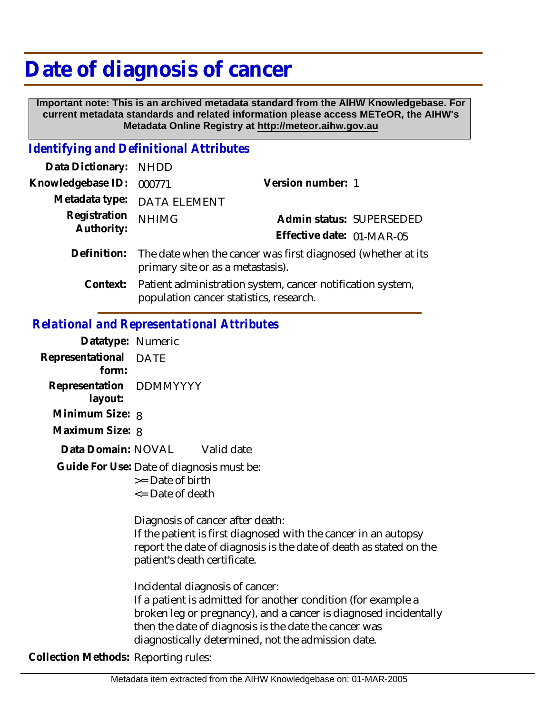# **Date of diagnosis of cancer**

 **Important note: This is an archived metadata standard from the AIHW Knowledgebase. For current metadata standards and related information please access METeOR, the AIHW's Metadata Online Registry at http://meteor.aihw.gov.au**

# *Identifying and Definitional Attributes*

| Data Dictionary: NHDD |                                                                                                               |                           |                          |
|-----------------------|---------------------------------------------------------------------------------------------------------------|---------------------------|--------------------------|
| Knowledgebase ID:     | 000771                                                                                                        | Version number: 1         |                          |
|                       | Metadata type: DATA ELEMENT                                                                                   |                           |                          |
| Registration          | <b>NHIMG</b>                                                                                                  |                           | Admin status: SUPERSEDED |
| Authority:            |                                                                                                               | Effective date: 01-MAR-05 |                          |
|                       | Definition: The date when the cancer was first diagnosed (whether at its<br>primary site or as a metastasis). |                           |                          |
|                       | Context: Patient administration system, cancer notification system,                                           |                           |                          |

population cancer statistics, research.

#### *Relational and Representational Attributes*

| Datatype: Numeric                    |                                                                                                                                                                                                                                                                                     |
|--------------------------------------|-------------------------------------------------------------------------------------------------------------------------------------------------------------------------------------------------------------------------------------------------------------------------------------|
| Representational DATE<br>form:       |                                                                                                                                                                                                                                                                                     |
| Representation DDMMYYYY<br>layout:   |                                                                                                                                                                                                                                                                                     |
| Minimum Size: 8                      |                                                                                                                                                                                                                                                                                     |
| Maximum Size: 8                      |                                                                                                                                                                                                                                                                                     |
| Data Domain: NOVAL                   | Valid date                                                                                                                                                                                                                                                                          |
|                                      | Guide For Use: Date of diagnosis must be:<br>>= Date of birth<br>$\leq$ Date of death                                                                                                                                                                                               |
|                                      | Diagnosis of cancer after death:<br>If the patient is first diagnosed with the cancer in an autopsy<br>report the date of diagnosis is the date of death as stated on the<br>patient's death certificate.                                                                           |
|                                      | Incidental diagnosis of cancer:<br>If a patient is admitted for another condition (for example a<br>broken leg or pregnancy), and a cancer is diagnosed incidentally<br>then the date of diagnosis is the date the cancer was<br>diagnostically determined, not the admission date. |
| Collection Methods: Reporting rules: |                                                                                                                                                                                                                                                                                     |